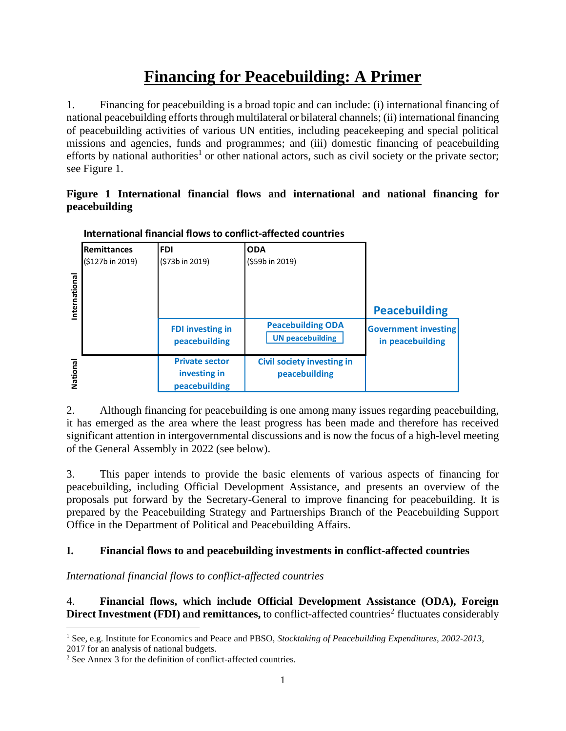# **Financing for Peacebuilding: A Primer**

1. Financing for peacebuilding is a broad topic and can include: (i) international financing of national peacebuilding efforts through multilateral or bilateral channels; (ii) international financing of peacebuilding activities of various UN entities, including peacekeeping and special political missions and agencies, funds and programmes; and (iii) domestic financing of peacebuilding efforts by national authorities<sup>1</sup> or other national actors, such as civil society or the private sector; see Figure 1.

#### **Figure 1 International financial flows and international and national financing for peacebuilding**

|               | <b>Remittances</b> | <b>FDI</b>                                             | <b>ODA</b>                                          |                                                 |
|---------------|--------------------|--------------------------------------------------------|-----------------------------------------------------|-------------------------------------------------|
| International | (\$127b in 2019)   | (\$73b in 2019)                                        | (\$59b in 2019)                                     | <b>Peacebuilding</b>                            |
|               |                    | <b>FDI investing in</b><br>peacebuilding               | <b>Peacebuilding ODA</b><br><b>UN peacebuilding</b> | <b>Government investing</b><br>in peacebuilding |
| National      |                    | <b>Private sector</b><br>investing in<br>peacebuilding | <b>Civil society investing in</b><br>peacebuilding  |                                                 |

**International financial flows to conflict-affected countries**

2. Although financing for peacebuilding is one among many issues regarding peacebuilding, it has emerged as the area where the least progress has been made and therefore has received significant attention in intergovernmental discussions and is now the focus of a high-level meeting of the General Assembly in 2022 (see below).

3. This paper intends to provide the basic elements of various aspects of financing for peacebuilding, including Official Development Assistance, and presents an overview of the proposals put forward by the Secretary-General to improve financing for peacebuilding. It is prepared by the Peacebuilding Strategy and Partnerships Branch of the Peacebuilding Support Office in the Department of Political and Peacebuilding Affairs.

# **I. Financial flows to and peacebuilding investments in conflict-affected countries**

*International financial flows to conflict-affected countries*

4. **Financial flows, which include Official Development Assistance (ODA), Foreign Direct Investment (FDI) and remittances,** to conflict-affected countries<sup>2</sup> fluctuates considerably

<sup>&</sup>lt;sup>1</sup> See, e.g. Institute for Economics and Peace and PBSO, *Stocktaking of Peacebuilding Expenditures*, 2002-2013, 2017 for an analysis of national budgets.

<sup>2</sup> See Annex 3 for the definition of conflict-affected countries.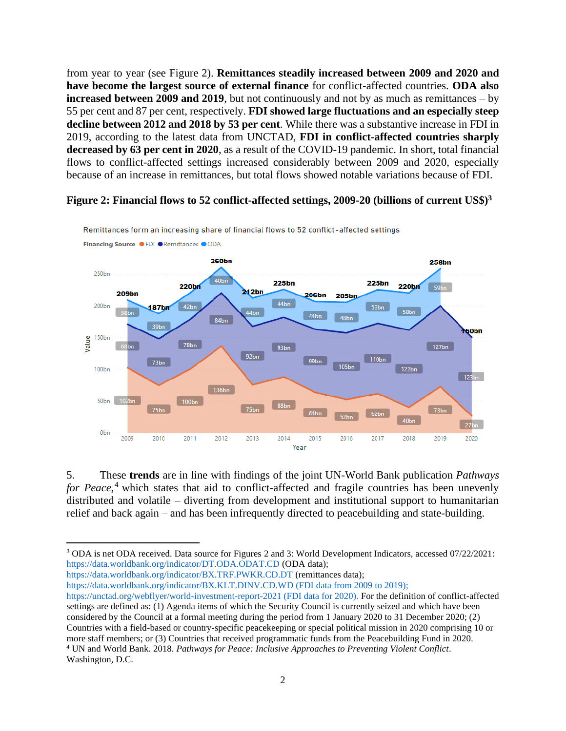from year to year (see Figure 2). **Remittances steadily increased between 2009 and 2020 and have become the largest source of external finance** for conflict-affected countries. **ODA also increased between 2009 and 2019**, but not continuously and not by as much as remittances – by 55 per cent and 87 per cent, respectively. **FDI showed large fluctuations and an especially steep decline between 2012 and 2018 by 53 per cent**. While there was a substantive increase in FDI in 2019, according to the latest data from UNCTAD, **FDI in conflict-affected countries sharply decreased by 63 per cent in 2020**, as a result of the COVID-19 pandemic. In short, total financial flows to conflict-affected settings increased considerably between 2009 and 2020, especially because of an increase in remittances, but total flows showed notable variations because of FDI.

#### **Figure 2: Financial flows to 52 conflict-affected settings, 2009-20 (billions of current US\$) 3**



Remittances form an increasing share of financial flows to 52 conflict-affected settings

5. These **trends** are in line with findings of the joint UN-World Bank publication *Pathways for Peace*, <sup>4</sup> which states that aid to conflict-affected and fragile countries has been unevenly distributed and volatile – diverting from development and institutional support to humanitarian relief and back again – and has been infrequently directed to peacebuilding and state-building.

<sup>3</sup> ODA is net ODA received. Data source for Figures 2 and 3: World Development Indicators, accessed 07/22/2021: <https://data.worldbank.org/indicator/DT.ODA.ODAT.CD> (ODA data);

<https://data.worldbank.org/indicator/BX.TRF.PWKR.CD.DT> (remittances data);

<https://data.worldbank.org/indicator/BX.KLT.DINV.CD.WD> (FDI data from 2009 to 2019);

<https://unctad.org/webflyer/world-investment-report-2021> (FDI data for 2020). For the definition of conflict-affected settings are defined as: (1) Agenda items of which the Security Council is currently seized and which have been considered by the Council at a formal meeting during the period from 1 January 2020 to 31 December 2020; (2) Countries with a field-based or country-specific peacekeeping or special political mission in 2020 comprising 10 or more staff members; or (3) Countries that received programmatic funds from the Peacebuilding Fund in 2020.

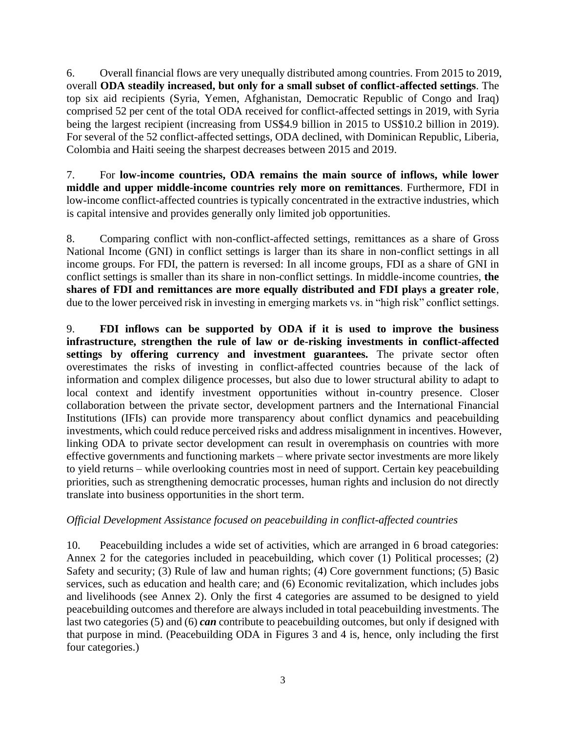6. Overall financial flows are very unequally distributed among countries. From 2015 to 2019, overall **ODA steadily increased, but only for a small subset of conflict-affected settings**. The top six aid recipients (Syria, Yemen, Afghanistan, Democratic Republic of Congo and Iraq) comprised 52 per cent of the total ODA received for conflict-affected settings in 2019, with Syria being the largest recipient (increasing from US\$4.9 billion in 2015 to US\$10.2 billion in 2019). For several of the 52 conflict-affected settings, ODA declined, with Dominican Republic, Liberia, Colombia and Haiti seeing the sharpest decreases between 2015 and 2019.

7. For **low-income countries, ODA remains the main source of inflows, while lower middle and upper middle-income countries rely more on remittances**. Furthermore, FDI in low-income conflict-affected countries is typically concentrated in the extractive industries, which is capital intensive and provides generally only limited job opportunities.

8. Comparing conflict with non-conflict-affected settings, remittances as a share of Gross National Income (GNI) in conflict settings is larger than its share in non-conflict settings in all income groups. For FDI, the pattern is reversed: In all income groups, FDI as a share of GNI in conflict settings is smaller than its share in non-conflict settings. In middle-income countries, **the shares of FDI and remittances are more equally distributed and FDI plays a greater role**, due to the lower perceived risk in investing in emerging markets vs. in "high risk" conflict settings.

9. **FDI inflows can be supported by ODA if it is used to improve the business infrastructure, strengthen the rule of law or de-risking investments in conflict-affected settings by offering currency and investment guarantees.** The private sector often overestimates the risks of investing in conflict-affected countries because of the lack of information and complex diligence processes, but also due to lower structural ability to adapt to local context and identify investment opportunities without in-country presence. Closer collaboration between the private sector, development partners and the International Financial Institutions (IFIs) can provide more transparency about conflict dynamics and peacebuilding investments, which could reduce perceived risks and address misalignment in incentives. However, linking ODA to private sector development can result in overemphasis on countries with more effective governments and functioning markets – where private sector investments are more likely to yield returns – while overlooking countries most in need of support. Certain key peacebuilding priorities, such as strengthening democratic processes, human rights and inclusion do not directly translate into business opportunities in the short term.

# *Official Development Assistance focused on peacebuilding in conflict-affected countries*

10. Peacebuilding includes a wide set of activities, which are arranged in 6 broad categories: Annex 2 for the categories included in peacebuilding, which cover (1) Political processes; (2) Safety and security; (3) Rule of law and human rights; (4) Core government functions; (5) Basic services, such as education and health care; and (6) Economic revitalization, which includes jobs and livelihoods (see Annex 2). Only the first 4 categories are assumed to be designed to yield peacebuilding outcomes and therefore are always included in total peacebuilding investments. The last two categories (5) and (6) *can* contribute to peacebuilding outcomes, but only if designed with that purpose in mind. (Peacebuilding ODA in Figures 3 and 4 is, hence, only including the first four categories.)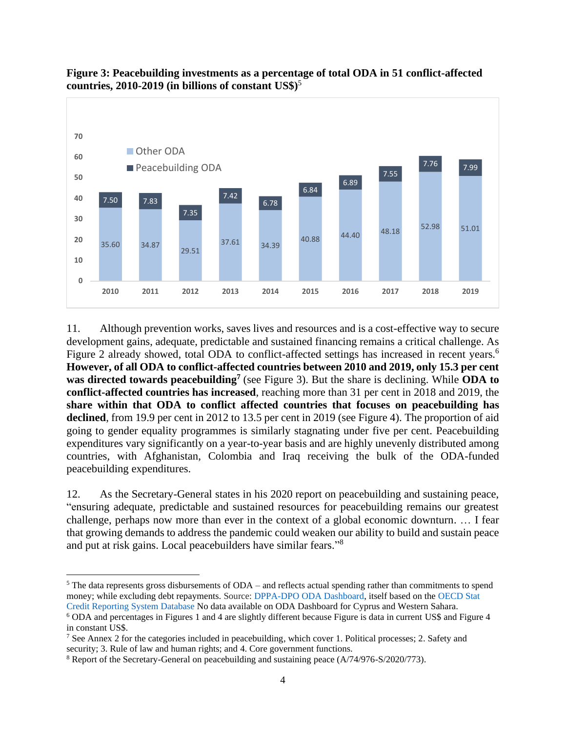



11. Although prevention works, saves lives and resources and is a cost-effective way to secure development gains, adequate, predictable and sustained financing remains a critical challenge. As Figure 2 already showed, total ODA to conflict-affected settings has increased in recent years.<sup>6</sup> **However, of all ODA to conflict-affected countries between 2010 and 2019, only 15.3 per cent was directed towards peacebuilding<sup>7</sup>** (see Figure 3). But the share is declining. While **ODA to conflict-affected countries has increased**, reaching more than 31 per cent in 2018 and 2019, the **share within that ODA to conflict affected countries that focuses on peacebuilding has declined**, from 19.9 per cent in 2012 to 13.5 per cent in 2019 (see Figure 4). The proportion of aid going to gender equality programmes is similarly stagnating under five per cent. Peacebuilding expenditures vary significantly on a year-to-year basis and are highly unevenly distributed among countries, with Afghanistan, Colombia and Iraq receiving the bulk of the ODA-funded peacebuilding expenditures.

12. As the Secretary-General states in his 2020 report on peacebuilding and sustaining peace, "ensuring adequate, predictable and sustained resources for peacebuilding remains our greatest challenge, perhaps now more than ever in the context of a global economic downturn. … I fear that growing demands to address the pandemic could weaken our ability to build and sustain peace and put at risk gains. Local peacebuilders have similar fears."<sup>8</sup>

 $5$  The data represents gross disbursements of ODA – and reflects actual spending rather than commitments to spend money; while excluding debt repayments. Source: [DPPA-DPO ODA Dashboard,](https://app.powerbi.com/view?r=eyJrIjoiNmE3Mzc4NTQtYzE3ZS00YjIyLWI0YjQtZTM5ODc5ZWIwY2NiIiwidCI6IjBmOWUzNWRiLTU0NGYtNGY2MC1iZGNjLTVlYTQxNmU2ZGM3MCIsImMiOjh9&pageName=ReportSection00b1b8b63af2e7d2ebfc) itself based on the [OECD Stat](https://stats.oecd.org/)  [Credit Reporting System Database](https://stats.oecd.org/) No data available on ODA Dashboard for Cyprus and Western Sahara.

<sup>6</sup> ODA and percentages in Figures 1 and 4 are slightly different because Figure is data in current US\$ and Figure 4 in constant US\$.

<sup>7</sup> See Annex 2 for the categories included in peacebuilding, which cover 1. Political processes; 2. Safety and security; 3. Rule of law and human rights; and 4. Core government functions.

<sup>&</sup>lt;sup>8</sup> Report of the Secretary-General on peacebuilding and sustaining peace (A/74/976-S/2020/773).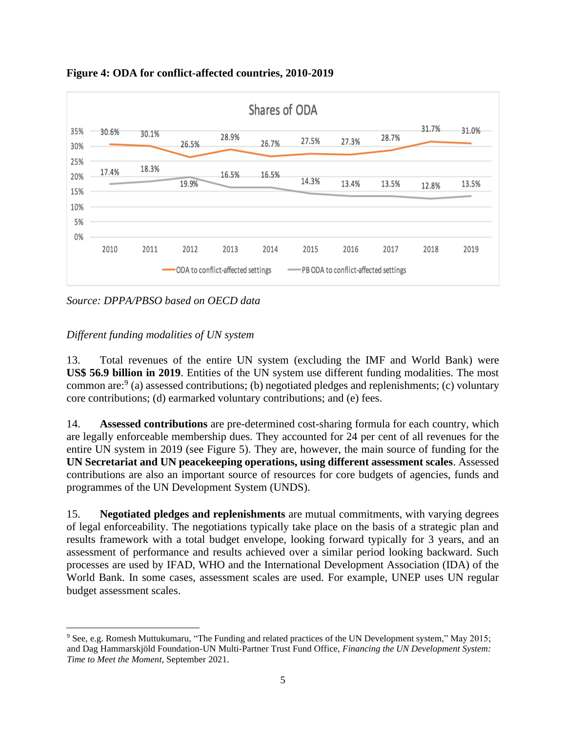

**Figure 4: ODA for conflict-affected countries, 2010-2019**

*Source: DPPA/PBSO based on OECD data*

#### *Different funding modalities of UN system*

13. Total revenues of the entire UN system (excluding the IMF and World Bank) were **US\$ 56.9 billion in 2019**. Entities of the UN system use different funding modalities. The most common are:  $9$  (a) assessed contributions; (b) negotiated pledges and replenishments; (c) voluntary core contributions; (d) earmarked voluntary contributions; and (e) fees.

14. **Assessed contributions** are pre-determined cost-sharing formula for each country, which are legally enforceable membership dues. They accounted for 24 per cent of all revenues for the entire UN system in 2019 (see Figure 5). They are, however, the main source of funding for the **UN Secretariat and UN peacekeeping operations, using different assessment scales**. Assessed contributions are also an important source of resources for core budgets of agencies, funds and programmes of the UN Development System (UNDS).

15. **Negotiated pledges and replenishments** are mutual commitments, with varying degrees of legal enforceability. The negotiations typically take place on the basis of a strategic plan and results framework with a total budget envelope, looking forward typically for 3 years, and an assessment of performance and results achieved over a similar period looking backward. Such processes are used by IFAD, WHO and the International Development Association (IDA) of the World Bank. In some cases, assessment scales are used. For example, UNEP uses UN regular budget assessment scales.

<sup>9</sup> See, e.g. Romesh Muttukumaru, "The Funding and related practices of the UN Development system," May 2015; and Dag Hammarskjöld Foundation-UN Multi-Partner Trust Fund Office, *Financing the UN Development System: Time to Meet the Moment*, September 2021.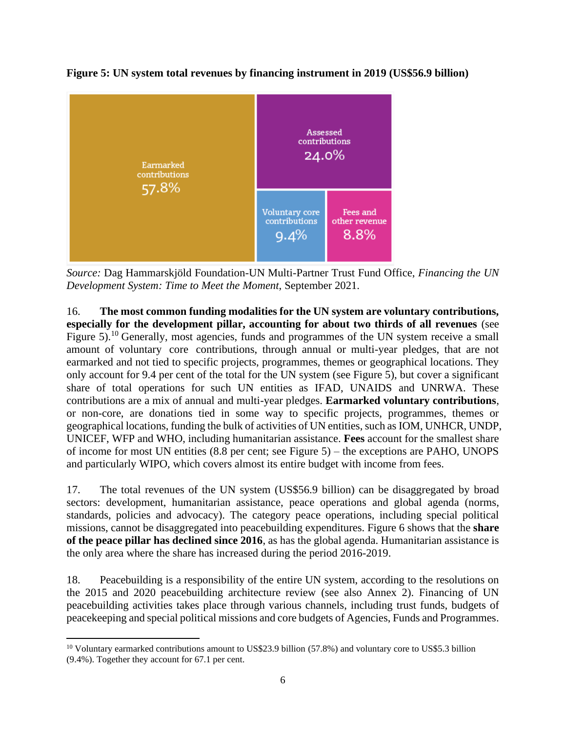

**Figure 5: UN system total revenues by financing instrument in 2019 (US\$56.9 billion)**

*Source:* Dag Hammarskjöld Foundation-UN Multi-Partner Trust Fund Office, *Financing the UN Development System: Time to Meet the Moment*, September 2021.

16. **The most common funding modalities for the UN system are voluntary contributions, especially for the development pillar, accounting for about two thirds of all revenues** (see Figure 5).<sup>10</sup> Generally, most agencies, funds and programmes of the UN system receive a small amount of voluntary core contributions, through annual or multi-year pledges, that are not earmarked and not tied to specific projects, programmes, themes or geographical locations. They only account for 9.4 per cent of the total for the UN system (see Figure 5), but cover a significant share of total operations for such UN entities as IFAD, UNAIDS and UNRWA. These contributions are a mix of annual and multi-year pledges. **Earmarked voluntary contributions**, or non-core, are donations tied in some way to specific projects, programmes, themes or geographical locations, funding the bulk of activities of UN entities, such as IOM, UNHCR, UNDP, UNICEF, WFP and WHO, including humanitarian assistance. **Fees** account for the smallest share of income for most UN entities (8.8 per cent; see Figure 5) – the exceptions are PAHO, UNOPS and particularly WIPO, which covers almost its entire budget with income from fees.

17. The total revenues of the UN system (US\$56.9 billion) can be disaggregated by broad sectors: development, humanitarian assistance, peace operations and global agenda (norms, standards, policies and advocacy). The category peace operations, including special political missions, cannot be disaggregated into peacebuilding expenditures. Figure 6 shows that the **share of the peace pillar has declined since 2016**, as has the global agenda. Humanitarian assistance is the only area where the share has increased during the period 2016-2019.

18. Peacebuilding is a responsibility of the entire UN system, according to the resolutions on the 2015 and 2020 peacebuilding architecture review (see also Annex 2). Financing of UN peacebuilding activities takes place through various channels, including trust funds, budgets of peacekeeping and special political missions and core budgets of Agencies, Funds and Programmes.

<sup>&</sup>lt;sup>10</sup> Voluntary earmarked contributions amount to US\$23.9 billion (57.8%) and voluntary core to US\$5.3 billion (9.4%). Together they account for 67.1 per cent.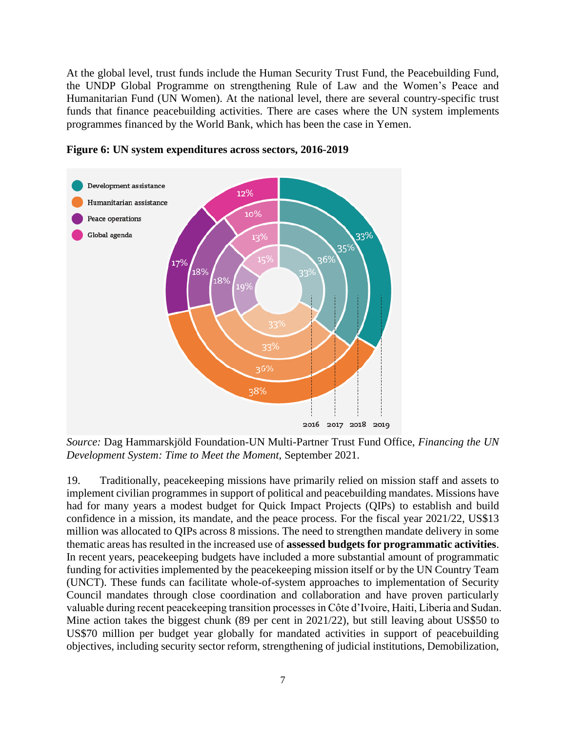At the global level, trust funds include the Human Security Trust Fund, the Peacebuilding Fund, the UNDP Global Programme on strengthening Rule of Law and the Women's Peace and Humanitarian Fund (UN Women). At the national level, there are several country-specific trust funds that finance peacebuilding activities. There are cases where the UN system implements programmes financed by the World Bank, which has been the case in Yemen.



#### **Figure 6: UN system expenditures across sectors, 2016-2019**

*Source:* Dag Hammarskjöld Foundation-UN Multi-Partner Trust Fund Office, *Financing the UN Development System: Time to Meet the Moment*, September 2021.

19. Traditionally, peacekeeping missions have primarily relied on mission staff and assets to implement civilian programmes in support of political and peacebuilding mandates. Missions have had for many years a modest budget for Quick Impact Projects (QIPs) to establish and build confidence in a mission, its mandate, and the peace process. For the fiscal year 2021/22, US\$13 million was allocated to QIPs across 8 missions. The need to strengthen mandate delivery in some thematic areas has resulted in the increased use of **assessed budgets for programmatic activities**. In recent years, peacekeeping budgets have included a more substantial amount of programmatic funding for activities implemented by the peacekeeping mission itself or by the UN Country Team (UNCT). These funds can facilitate whole-of-system approaches to implementation of Security Council mandates through close coordination and collaboration and have proven particularly valuable during recent peacekeeping transition processes in Côte d'Ivoire, Haiti, Liberia and Sudan. Mine action takes the biggest chunk (89 per cent in 2021/22), but still leaving about US\$50 to US\$70 million per budget year globally for mandated activities in support of peacebuilding objectives, including security sector reform, strengthening of judicial institutions, Demobilization,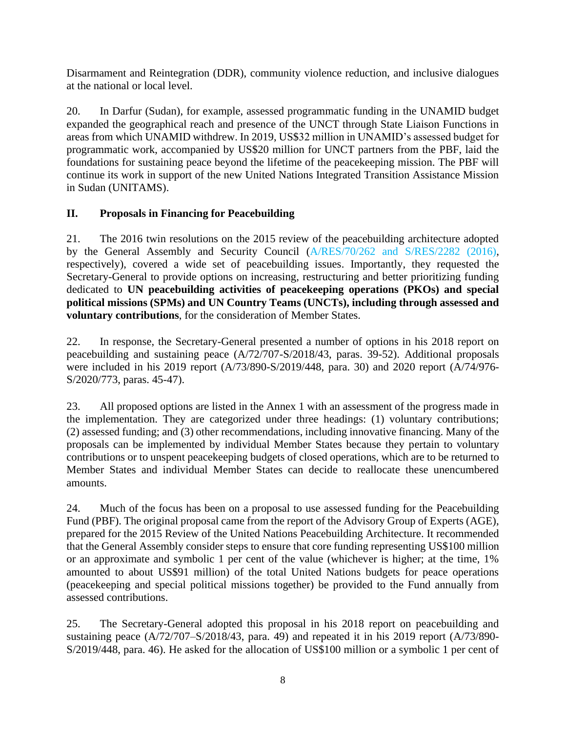Disarmament and Reintegration (DDR), community violence reduction, and inclusive dialogues at the national or local level.

20. In Darfur (Sudan), for example, assessed programmatic funding in the UNAMID budget expanded the geographical reach and presence of the UNCT through State Liaison Functions in areas from which UNAMID withdrew. In 2019, US\$32 million in UNAMID's assessed budget for programmatic work, accompanied by US\$20 million for UNCT partners from the PBF, laid the foundations for sustaining peace beyond the lifetime of the peacekeeping mission. The PBF will continue its work in support of the new United Nations Integrated Transition Assistance Mission in Sudan (UNITAMS).

### **II. Proposals in Financing for Peacebuilding**

21. The 2016 twin resolutions on the 2015 review of the peacebuilding architecture adopted by the General Assembly and Security Council (A/RES[/70/262](https://undocs.org/A/RES/70/262) and S/RES[/2282 \(2016\),](https://undocs.org/S/RES/2282(2016)) respectively), covered a wide set of peacebuilding issues. Importantly, they requested the Secretary-General to provide options on increasing, restructuring and better prioritizing funding dedicated to **UN peacebuilding activities of peacekeeping operations (PKOs) and special political missions (SPMs) and UN Country Teams (UNCTs), including through assessed and voluntary contributions**, for the consideration of Member States.

22. In response, the Secretary-General presented a number of options in his 2018 report on peacebuilding and sustaining peace (A/72/707-S/2018/43, paras. 39-52). Additional proposals were included in his 2019 report (A/73/890-S/2019/448, para. 30) and 2020 report (A/74/976- S/2020/773, paras. 45-47).

23. All proposed options are listed in the Annex 1 with an assessment of the progress made in the implementation. They are categorized under three headings: (1) voluntary contributions; (2) assessed funding; and (3) other recommendations, including innovative financing. Many of the proposals can be implemented by individual Member States because they pertain to voluntary contributions or to unspent peacekeeping budgets of closed operations, which are to be returned to Member States and individual Member States can decide to reallocate these unencumbered amounts.

24. Much of the focus has been on a proposal to use assessed funding for the Peacebuilding Fund (PBF). The original proposal came from the report of the Advisory Group of Experts (AGE), prepared for the 2015 Review of the United Nations Peacebuilding Architecture. It recommended that the General Assembly consider steps to ensure that core funding representing US\$100 million or an approximate and symbolic 1 per cent of the value (whichever is higher; at the time, 1% amounted to about US\$91 million) of the total United Nations budgets for peace operations (peacekeeping and special political missions together) be provided to the Fund annually from assessed contributions.

25. The Secretary-General adopted this proposal in his 2018 report on peacebuilding and sustaining peace (A/72/707–S/2018/43, para. 49) and repeated it in his 2019 report (A/73/890- S/2019/448, para. 46). He asked for the allocation of US\$100 million or a symbolic 1 per cent of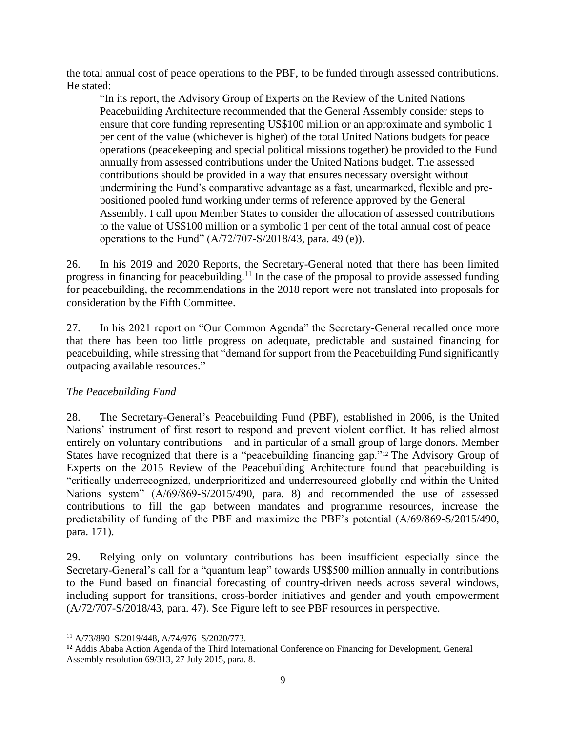the total annual cost of peace operations to the PBF, to be funded through assessed contributions. He stated:

"In its report, the Advisory Group of Experts on the Review of the United Nations Peacebuilding Architecture recommended that the General Assembly consider steps to ensure that core funding representing US\$100 million or an approximate and symbolic 1 per cent of the value (whichever is higher) of the total United Nations budgets for peace operations (peacekeeping and special political missions together) be provided to the Fund annually from assessed contributions under the United Nations budget. The assessed contributions should be provided in a way that ensures necessary oversight without undermining the Fund's comparative advantage as a fast, unearmarked, flexible and prepositioned pooled fund working under terms of reference approved by the General Assembly. I call upon Member States to consider the allocation of assessed contributions to the value of US\$100 million or a symbolic 1 per cent of the total annual cost of peace operations to the Fund" (A/72/707-S/2018/43, para. 49 (e)).

26. In his 2019 and 2020 Reports, the Secretary-General noted that there has been limited progress in financing for peacebuilding.<sup>11</sup> In the case of the proposal to provide assessed funding for peacebuilding, the recommendations in the 2018 report were not translated into proposals for consideration by the Fifth Committee.

27. In his 2021 report on "Our Common Agenda" the Secretary-General recalled once more that there has been too little progress on adequate, predictable and sustained financing for peacebuilding, while stressing that "demand for support from the Peacebuilding Fund significantly outpacing available resources."

#### *The Peacebuilding Fund*

28. The Secretary-General's Peacebuilding Fund (PBF), established in 2006, is the United Nations' instrument of first resort to respond and prevent violent conflict. It has relied almost entirely on voluntary contributions – and in particular of a small group of large donors. Member States have recognized that there is a "peacebuilding financing gap."<sup>12</sup> The Advisory Group of Experts on the 2015 Review of the Peacebuilding Architecture found that peacebuilding is "critically underrecognized, underprioritized and underresourced globally and within the United Nations system" (A/69/869-S/2015/490, para. 8) and recommended the use of assessed contributions to fill the gap between mandates and programme resources, increase the predictability of funding of the PBF and maximize the PBF's potential (A/69/869-S/2015/490, para. 171).

29. Relying only on voluntary contributions has been insufficient especially since the Secretary-General's call for a "quantum leap" towards US\$500 million annually in contributions to the Fund based on financial forecasting of country-driven needs across several windows, including support for transitions, cross-border initiatives and gender and youth empowerment (A/72/707-S/2018/43, para. 47). See Figure left to see PBF resources in perspective.

<sup>11</sup> A/73/890–S/2019/448, A/74/976–S/2020/773.

**<sup>12</sup>** Addis Ababa Action Agenda of the Third International Conference on Financing for Development, General Assembly resolution 69/313, 27 July 2015, para. 8.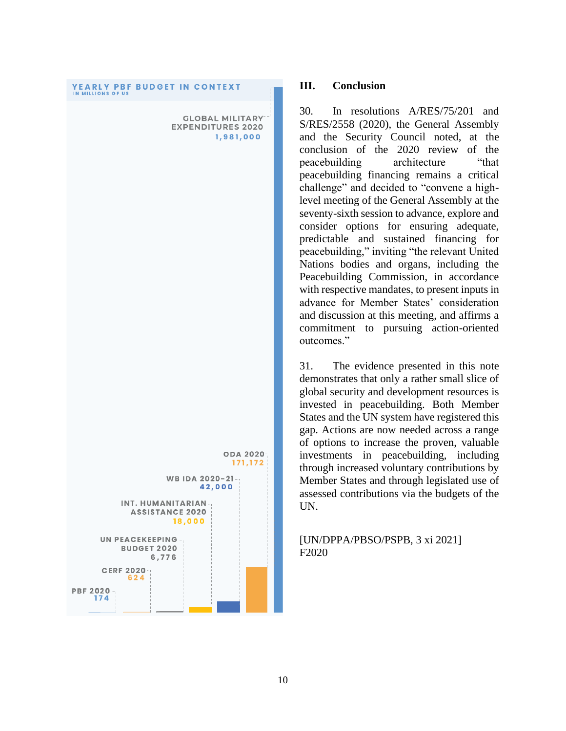# **YEARLY PBF BUDGET IN CONTEXT** IN MILLIONS OF US **GLOBAL MILITARY EXPENDITURES 2020** 1,981,000 **ODA 2020-**171,172 WB IDA 2020-21 42,000 INT. HUMANITARIAN **ASSISTANCE 2020** 18,000 **UN PEACEKEEPING**

**BUDGET 2020** 6,776

**CERF 2020** 624

**PBF 2020 -**174

#### **III. Conclusion**

30. In resolutions A/RES/75/201 and S/RES/2558 (2020), the General Assembly and the Security Council noted, at the conclusion of the 2020 review of the peacebuilding architecture "that peacebuilding financing remains a critical challenge" and decided to "convene a highlevel meeting of the General Assembly at the seventy-sixth session to advance, explore and consider options for ensuring adequate, predictable and sustained financing for peacebuilding," inviting "the relevant United Nations bodies and organs, including the Peacebuilding Commission, in accordance with respective mandates, to present inputs in advance for Member States' consideration and discussion at this meeting, and affirms a commitment to pursuing action-oriented outcomes."

31. The evidence presented in this note demonstrates that only a rather small slice of global security and development resources is invested in peacebuilding. Both Member States and the UN system have registered this gap. Actions are now needed across a range of options to increase the proven, valuable investments in peacebuilding, including through increased voluntary contributions by Member States and through legislated use of assessed contributions via the budgets of the UN.

#### [UN/DPPA/PBSO/PSPB, 3 xi 2021] F2020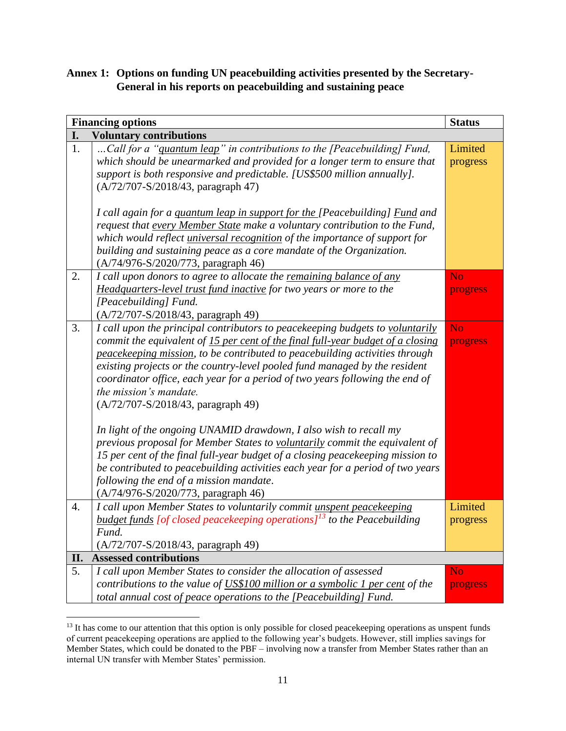# **Annex 1: Options on funding UN peacebuilding activities presented by the Secretary-General in his reports on peacebuilding and sustaining peace**

|     | <b>Financing options</b>                                                                                                                                                                                                                                                                                                                                                                                                                                                                                                                                                                                                                                                                                                                                                                                                                                                                | <b>Status</b>              |
|-----|-----------------------------------------------------------------------------------------------------------------------------------------------------------------------------------------------------------------------------------------------------------------------------------------------------------------------------------------------------------------------------------------------------------------------------------------------------------------------------------------------------------------------------------------------------------------------------------------------------------------------------------------------------------------------------------------------------------------------------------------------------------------------------------------------------------------------------------------------------------------------------------------|----------------------------|
| I.  | <b>Voluntary contributions</b>                                                                                                                                                                                                                                                                                                                                                                                                                                                                                                                                                                                                                                                                                                                                                                                                                                                          |                            |
| 1.  | Call for a "quantum leap" in contributions to the [Peacebuilding] Fund,<br>which should be unearmarked and provided for a longer term to ensure that<br>support is both responsive and predictable. [US\$500 million annually].<br>(A/72/707-S/2018/43, paragraph 47)                                                                                                                                                                                                                                                                                                                                                                                                                                                                                                                                                                                                                   | Limited<br>progress        |
|     | I call again for a <i>quantum leap in support for the</i> [Peacebuilding] <i>Fund and</i><br>request that every Member State make a voluntary contribution to the Fund,<br>which would reflect <i>universal recognition</i> of the importance of support for<br>building and sustaining peace as a core mandate of the Organization.<br>(A/74/976-S/2020/773, paragraph 46)                                                                                                                                                                                                                                                                                                                                                                                                                                                                                                             |                            |
| 2.  | I call upon donors to agree to allocate the remaining balance of any<br>Headquarters-level trust fund inactive for two years or more to the<br>[Peacebuilding] Fund.<br>$(A/72/707-S/2018/43,$ paragraph 49)                                                                                                                                                                                                                                                                                                                                                                                                                                                                                                                                                                                                                                                                            | <b>No</b><br>progress      |
| 3.  | I call upon the principal contributors to peacekeeping budgets to voluntarily<br>commit the equivalent of 15 per cent of the final full-year budget of a closing<br>peacekeeping mission, to be contributed to peacebuilding activities through<br>existing projects or the country-level pooled fund managed by the resident<br>coordinator office, each year for a period of two years following the end of<br>the mission's mandate.<br>(A/72/707-S/2018/43, paragraph 49)<br>In light of the ongoing UNAMID drawdown, I also wish to recall my<br>previous proposal for Member States to voluntarily commit the equivalent of<br>15 per cent of the final full-year budget of a closing peacekeeping mission to<br>be contributed to peacebuilding activities each year for a period of two years<br>following the end of a mission mandate.<br>(A/74/976-S/2020/773, paragraph 46) | <b>No</b><br>progress      |
| 4.  | I call upon Member States to voluntarily commit unspent peacekeeping<br><b>budget funds</b> [of closed peacekeeping operations] <sup>13</sup> to the Peacebuilding<br>Fund.<br>(A/72/707-S/2018/43, paragraph 49)                                                                                                                                                                                                                                                                                                                                                                                                                                                                                                                                                                                                                                                                       | Limited<br>progress        |
| II. | <b>Assessed contributions</b>                                                                                                                                                                                                                                                                                                                                                                                                                                                                                                                                                                                                                                                                                                                                                                                                                                                           |                            |
| 5.  | I call upon Member States to consider the allocation of assessed<br>contributions to the value of US\$100 million or a symbolic 1 per cent of the<br>total annual cost of peace operations to the [Peacebuilding] Fund.                                                                                                                                                                                                                                                                                                                                                                                                                                                                                                                                                                                                                                                                 | N <sub>o</sub><br>progress |

 $13$  It has come to our attention that this option is only possible for closed peacekeeping operations as unspent funds of current peacekeeping operations are applied to the following year's budgets. However, still implies savings for Member States, which could be donated to the PBF – involving now a transfer from Member States rather than an internal UN transfer with Member States' permission.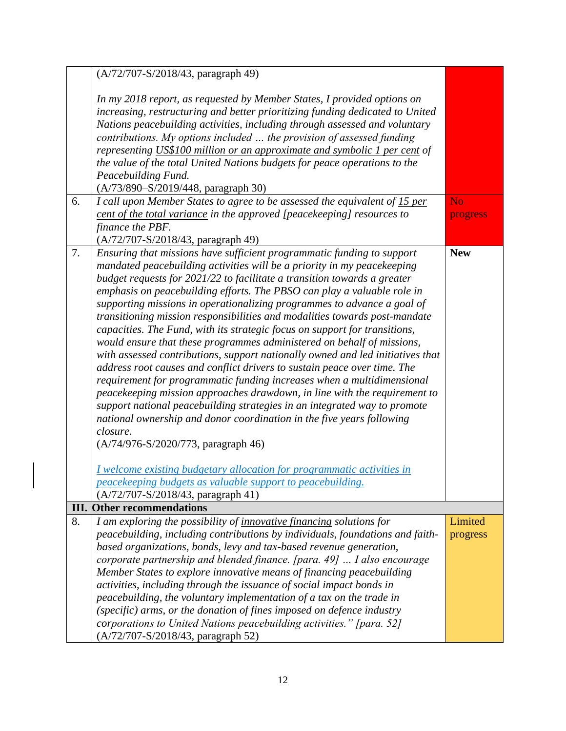|    | (A/72/707-S/2018/43, paragraph 49)                                                                                                                    |            |
|----|-------------------------------------------------------------------------------------------------------------------------------------------------------|------------|
|    | In my 2018 report, as requested by Member States, I provided options on                                                                               |            |
|    | increasing, restructuring and better prioritizing funding dedicated to United                                                                         |            |
|    | Nations peacebuilding activities, including through assessed and voluntary                                                                            |            |
|    | contributions. My options included  the provision of assessed funding                                                                                 |            |
|    | representing US\$100 million or an approximate and symbolic 1 per cent of                                                                             |            |
|    | the value of the total United Nations budgets for peace operations to the                                                                             |            |
|    | Peacebuilding Fund.                                                                                                                                   |            |
|    | (A/73/890-S/2019/448, paragraph 30)                                                                                                                   |            |
| 6. | I call upon Member States to agree to be assessed the equivalent of 15 per                                                                            | <b>No</b>  |
|    | cent of the total variance in the approved [peacekeeping] resources to                                                                                | progress   |
|    | finance the PBF.                                                                                                                                      |            |
|    | (A/72/707-S/2018/43, paragraph 49)                                                                                                                    |            |
| 7. | Ensuring that missions have sufficient programmatic funding to support                                                                                | <b>New</b> |
|    | mandated peacebuilding activities will be a priority in my peacekeeping                                                                               |            |
|    | budget requests for 2021/22 to facilitate a transition towards a greater                                                                              |            |
|    | emphasis on peacebuilding efforts. The PBSO can play a valuable role in                                                                               |            |
|    | supporting missions in operationalizing programmes to advance a goal of<br>transitioning mission responsibilities and modalities towards post-mandate |            |
|    | capacities. The Fund, with its strategic focus on support for transitions,                                                                            |            |
|    | would ensure that these programmes administered on behalf of missions,                                                                                |            |
|    | with assessed contributions, support nationally owned and led initiatives that                                                                        |            |
|    | address root causes and conflict drivers to sustain peace over time. The                                                                              |            |
|    | requirement for programmatic funding increases when a multidimensional                                                                                |            |
|    | peacekeeping mission approaches drawdown, in line with the requirement to                                                                             |            |
|    | support national peacebuilding strategies in an integrated way to promote                                                                             |            |
|    | national ownership and donor coordination in the five years following                                                                                 |            |
|    | closure.                                                                                                                                              |            |
|    | (A/74/976-S/2020/773, paragraph 46)                                                                                                                   |            |
|    |                                                                                                                                                       |            |
|    | I welcome existing budgetary allocation for programmatic activities in                                                                                |            |
|    | peacekeeping budgets as valuable support to peacebuilding.                                                                                            |            |
|    | (A/72/707-S/2018/43, paragraph 41)                                                                                                                    |            |
|    | <b>III.</b> Other recommendations                                                                                                                     |            |
| 8. | I am exploring the possibility of <i>innovative financing</i> solutions for                                                                           | Limited    |
|    | peacebuilding, including contributions by individuals, foundations and faith-                                                                         | progress   |
|    | based organizations, bonds, levy and tax-based revenue generation,                                                                                    |            |
|    | corporate partnership and blended finance. [para. 49]  I also encourage<br>Member States to explore innovative means of financing peacebuilding       |            |
|    | activities, including through the issuance of social impact bonds in                                                                                  |            |
|    | peacebuilding, the voluntary implementation of a tax on the trade in                                                                                  |            |
|    | (specific) arms, or the donation of fines imposed on defence industry                                                                                 |            |
|    | corporations to United Nations peacebuilding activities." [para. 52]                                                                                  |            |
|    | (A/72/707-S/2018/43, paragraph 52)                                                                                                                    |            |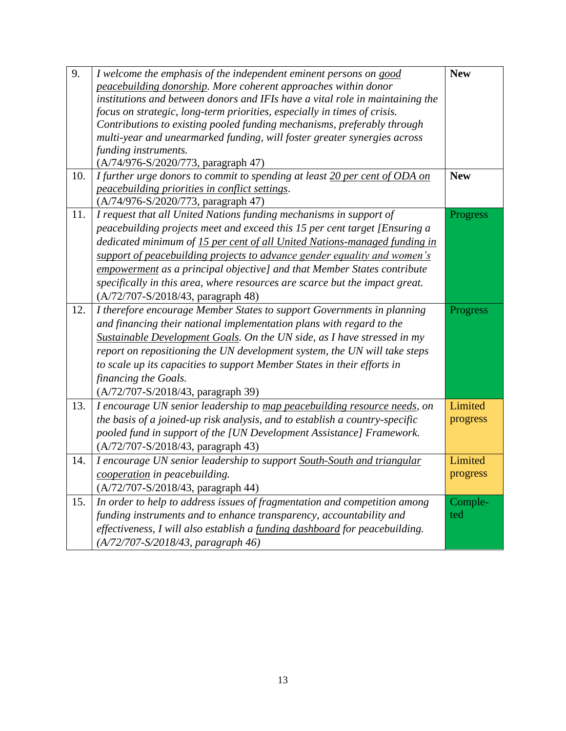| 9.  | I welcome the emphasis of the independent eminent persons on good             | <b>New</b> |
|-----|-------------------------------------------------------------------------------|------------|
|     | peacebuilding donorship. More coherent approaches within donor                |            |
|     | institutions and between donors and IFIs have a vital role in maintaining the |            |
|     | focus on strategic, long-term priorities, especially in times of crisis.      |            |
|     | Contributions to existing pooled funding mechanisms, preferably through       |            |
|     | multi-year and unearmarked funding, will foster greater synergies across      |            |
|     | funding instruments.                                                          |            |
|     | (A/74/976-S/2020/773, paragraph 47)                                           |            |
| 10. | I further urge donors to commit to spending at least 20 per cent of ODA on    | <b>New</b> |
|     | peacebuilding priorities in conflict settings.                                |            |
|     | (A/74/976-S/2020/773, paragraph 47)                                           |            |
| 11. | I request that all United Nations funding mechanisms in support of            | Progress   |
|     | peacebuilding projects meet and exceed this 15 per cent target [Ensuring a    |            |
|     | dedicated minimum of 15 per cent of all United Nations-managed funding in     |            |
|     | support of peacebuilding projects to advance gender equality and women's      |            |
|     | empowerment as a principal objective] and that Member States contribute       |            |
|     | specifically in this area, where resources are scarce but the impact great.   |            |
|     | (A/72/707-S/2018/43, paragraph 48)                                            |            |
| 12. | I therefore encourage Member States to support Governments in planning        | Progress   |
|     | and financing their national implementation plans with regard to the          |            |
|     | Sustainable Development Goals. On the UN side, as I have stressed in my       |            |
|     | report on repositioning the UN development system, the UN will take steps     |            |
|     | to scale up its capacities to support Member States in their efforts in       |            |
|     | financing the Goals.                                                          |            |
|     | (A/72/707-S/2018/43, paragraph 39)                                            |            |
| 13. | I encourage UN senior leadership to map peacebuilding resource needs, on      | Limited    |
|     | the basis of a joined-up risk analysis, and to establish a country-specific   | progress   |
|     | pooled fund in support of the [UN Development Assistance] Framework.          |            |
|     | (A/72/707-S/2018/43, paragraph 43)                                            |            |
| 14. | I encourage UN senior leadership to support South-South and triangular        | Limited    |
|     | cooperation in peacebuilding.                                                 | progress   |
|     | (A/72/707-S/2018/43, paragraph 44)                                            |            |
| 15. | In order to help to address issues of fragmentation and competition among     | Comple-    |
|     | funding instruments and to enhance transparency, accountability and           | ted        |
|     | effectiveness, I will also establish a funding dashboard for peacebuilding.   |            |
|     | $(A/72/707-S/2018/43,$ paragraph 46)                                          |            |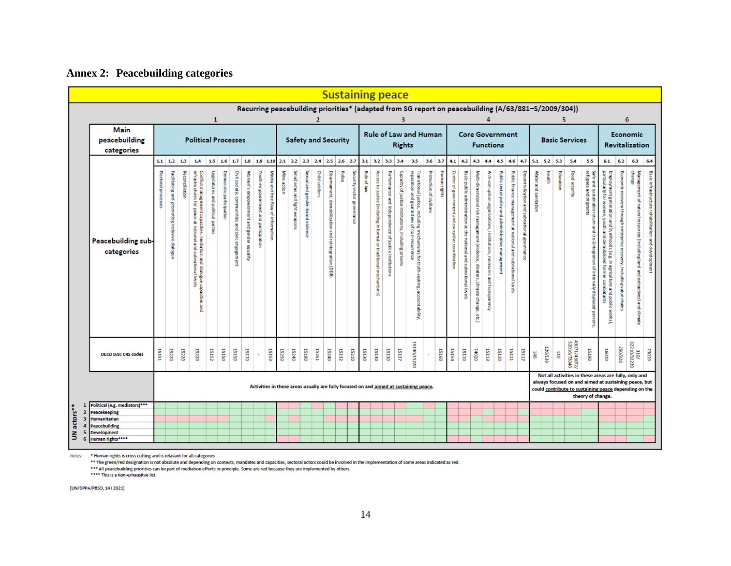### **Annex 2: Peacebuilding categories**

|                              |                                               |                                                                                                               |                                               |                |                                                                                                                                                    |                                    |                          |                                                 |                                         |                                     |                                    |                            |                               |                                  |                |                                                     |        |                            | <b>Sustaining peace</b>                                                               |                                                                    |                                                      |                                                       |                                                                   |                                                                                     |                         |              |                                                 |                                                                    |                                                                                 |                                                                        |                                                     |                                                              |                                             |                      |         |               |                                                                                                     |                                                                                                                                                                                             |                                                                                                                                                                                                                  |                                                                         |                           |                                                                                                                                           |  |
|------------------------------|-----------------------------------------------|---------------------------------------------------------------------------------------------------------------|-----------------------------------------------|----------------|----------------------------------------------------------------------------------------------------------------------------------------------------|------------------------------------|--------------------------|-------------------------------------------------|-----------------------------------------|-------------------------------------|------------------------------------|----------------------------|-------------------------------|----------------------------------|----------------|-----------------------------------------------------|--------|----------------------------|---------------------------------------------------------------------------------------|--------------------------------------------------------------------|------------------------------------------------------|-------------------------------------------------------|-------------------------------------------------------------------|-------------------------------------------------------------------------------------|-------------------------|--------------|-------------------------------------------------|--------------------------------------------------------------------|---------------------------------------------------------------------------------|------------------------------------------------------------------------|-----------------------------------------------------|--------------------------------------------------------------|---------------------------------------------|----------------------|---------|---------------|-----------------------------------------------------------------------------------------------------|---------------------------------------------------------------------------------------------------------------------------------------------------------------------------------------------|------------------------------------------------------------------------------------------------------------------------------------------------------------------------------------------------------------------|-------------------------------------------------------------------------|---------------------------|-------------------------------------------------------------------------------------------------------------------------------------------|--|
|                              |                                               |                                                                                                               |                                               |                |                                                                                                                                                    | 1                                  |                          |                                                 |                                         |                                     |                                    |                            |                               |                                  |                |                                                     |        |                            |                                                                                       |                                                                    |                                                      |                                                       |                                                                   |                                                                                     |                         |              |                                                 |                                                                    |                                                                                 |                                                                        |                                                     |                                                              |                                             |                      |         |               | Recurring peacebuilding priorities* (adapted from SG report on peacebuilding (A/63/881-S/2009/304)) |                                                                                                                                                                                             | 6                                                                                                                                                                                                                |                                                                         |                           |                                                                                                                                           |  |
|                              | <b>Main</b><br>peacebuilding<br>categories    | <b>Political Processes</b><br>2.1 2.2 2.3 2.4 2.5 2.6 2.7<br>$1.1$ 1.2 1.3<br>1.5 1.6 1.7 1.8 1.9 1.10<br>1.4 |                                               |                |                                                                                                                                                    |                                    |                          |                                                 |                                         |                                     |                                    | <b>Safety and Security</b> |                               |                                  |                |                                                     |        |                            |                                                                                       | <b>Rule of Law and Human</b><br><b>Rights</b>                      |                                                      |                                                       |                                                                   |                                                                                     |                         |              |                                                 |                                                                    |                                                                                 | <b>Functions</b>                                                       |                                                     | <b>Core Government</b>                                       |                                             |                      |         |               | <b>Basic Services</b>                                                                               |                                                                                                                                                                                             | Economic<br><b>Revitalization</b>                                                                                                                                                                                |                                                                         |                           |                                                                                                                                           |  |
|                              |                                               |                                                                                                               |                                               |                |                                                                                                                                                    |                                    |                          |                                                 |                                         |                                     |                                    |                            |                               |                                  |                |                                                     |        |                            |                                                                                       |                                                                    | 3.1 3.2 3.3 3.4                                      |                                                       | 3.5                                                               |                                                                                     | $3.6$ 3.7               |              | 4.1 4.2 4.3 4.4 4.5 4.6 4.7                     |                                                                    |                                                                                 |                                                                        |                                                     |                                                              |                                             |                      |         | $5.1$ 5.2 5.3 | 5.4                                                                                                 | 5.5                                                                                                                                                                                         | 6.1                                                                                                                                                                                                              | 6.2                                                                     | 6.3                       | 6,4                                                                                                                                       |  |
|                              | Peacebuilding sub-<br>categories              | Electoral processes                                                                                           | Facilitating and promoting inclusive dialogue | Reconciliation | infrastructures for peace<br>Conflict management capacities<br>at national and subnational levels<br>à<br>diation and<br>dialogue<br>capaciti<br>œ | Legislatures and political parties | Democratic participation | Civil society, communities and civic engagement | Women's empowerment and gender equality | Youth empowerment and participation | Media and free flow of information | Mine action                | Small arms and light weap ons | Sexual and gender-based violence | Child soldiers | Disarmament, demobilization and reintegration (DDR) | Police | Security sector governance | Rule of law                                                                           | Access to justice (in cluding in formal or traditional mechanisms) | Performance and independence of justice institutions | Cap acity of justice institutions, in cluding prisons | reparation and<br><b>Ring</b><br>, including<br>rantees of i<br>콩 | Transitional justice,<br>mechanisms for truth-seeking,<br>account<br><b>Aurrent</b> | Protection of civilians | Human rights | Centre of government and executive coordination | Basic public administration at the national and subnational levels | Multi-dimensional risk managament (violence, disaters, climate change,<br>etc.) | Anti-corruption organizations, institutions, measures and transparency | Public sector policy and administrative man agement | Public finance management at national and subnational levels | Decentralization and subnational governance | Water and sanitation | Health  | Education     | Food security                                                                                       | Safe and sustainabler<br>refugees and migrants<br>ā<br>ăna<br>(re-)inte<br><b>Bration</b><br>$\overline{a}$<br>nally displaced                                                              | Employment generation<br>particularly for women, /<br>wouth<br>å<br><b>Ilvelit</b><br>å<br>dem<br>pods (e.g.<br>ã<br>$\overline{\mathbf{5}}$<br>agriculture<br>I former com<br>combat ant s<br>and public works) | Economic recovery through<br>enterprise recovery, including value chair | change                    | Management of natural resources (including land<br>Basic infrastructure rehabilitation<br>and development<br>and extractives) and climate |  |
|                              | <b>OECD DAC CRS codes</b>                     | 15151                                                                                                         | 15220                                         | 15220          | 15220                                                                                                                                              | 15152                              | 15150                    | 15150                                           | 15170                                   |                                     | 15153                              | 15250                      | 15240                         | 15180                            | 15261          | 15240                                               | 15132  | 15210                      | 15130                                                                                 | 15130                                                              | 15130                                                | 15137                                                 | 15130/15220                                                       |                                                                                     | 15160                   |              | 15154                                           | 15110                                                              | 74020                                                                           | 15113                                                                  | 15110                                               | IEIST                                                        | 15112                                       | J40                  | 120/130 | 110           | 72010/2040<br>72010/2040                                                                            | 15190                                                                                                                                                                                       | 16020                                                                                                                                                                                                            | 250/320                                                                 | $\frac{310}{22210/32220}$ | 73010                                                                                                                                     |  |
|                              |                                               |                                                                                                               |                                               |                |                                                                                                                                                    |                                    |                          |                                                 |                                         |                                     |                                    |                            |                               |                                  |                |                                                     |        |                            | Activities in these areas usually are fully focused on and aimed at sustaining peace. |                                                                    |                                                      |                                                       |                                                                   |                                                                                     |                         |              |                                                 |                                                                    |                                                                                 |                                                                        |                                                     |                                                              |                                             |                      |         |               |                                                                                                     | Not all activities in these areas are fully, only and<br>always focused on and aimed at sustaining peace, but<br>could contribute to sustaining peace depending on the<br>theory of change. |                                                                                                                                                                                                                  |                                                                         |                           |                                                                                                                                           |  |
| 1<br>$\overline{2}$          | Political (e.g. mediators)***<br>Peacekeeping |                                                                                                               |                                               |                |                                                                                                                                                    |                                    |                          |                                                 |                                         |                                     |                                    |                            |                               |                                  |                |                                                     |        |                            |                                                                                       |                                                                    |                                                      |                                                       |                                                                   |                                                                                     |                         |              |                                                 |                                                                    |                                                                                 |                                                                        |                                                     |                                                              |                                             |                      |         |               |                                                                                                     |                                                                                                                                                                                             |                                                                                                                                                                                                                  |                                                                         |                           |                                                                                                                                           |  |
| actors*<br>3                 | <b>Humanitarian</b><br>Peacebuilding          |                                                                                                               |                                               |                |                                                                                                                                                    |                                    |                          |                                                 |                                         |                                     |                                    |                            |                               |                                  |                |                                                     |        |                            |                                                                                       |                                                                    |                                                      |                                                       |                                                                   |                                                                                     |                         |              |                                                 |                                                                    |                                                                                 |                                                                        |                                                     |                                                              |                                             |                      |         |               |                                                                                                     |                                                                                                                                                                                             |                                                                                                                                                                                                                  |                                                                         |                           |                                                                                                                                           |  |
| $\overline{\mathbf{5}}$<br>5 | Development                                   |                                                                                                               |                                               |                |                                                                                                                                                    |                                    |                          |                                                 |                                         |                                     |                                    |                            |                               |                                  |                |                                                     |        |                            |                                                                                       |                                                                    |                                                      |                                                       |                                                                   |                                                                                     |                         |              |                                                 |                                                                    |                                                                                 |                                                                        |                                                     |                                                              |                                             |                      |         |               |                                                                                                     |                                                                                                                                                                                             |                                                                                                                                                                                                                  |                                                                         |                           |                                                                                                                                           |  |
| 6                            | Human rights****                              |                                                                                                               |                                               |                |                                                                                                                                                    |                                    |                          |                                                 |                                         |                                     |                                    |                            |                               |                                  |                |                                                     |        |                            |                                                                                       |                                                                    |                                                      |                                                       |                                                                   |                                                                                     |                         |              |                                                 |                                                                    |                                                                                 |                                                                        |                                                     |                                                              |                                             |                      |         |               |                                                                                                     |                                                                                                                                                                                             |                                                                                                                                                                                                                  |                                                                         |                           |                                                                                                                                           |  |

Notes: \* Human rights is cross cutting and is relavant for all categories

The green/red designation is not a leader it of an categories<br>\*\* The green/red designation is not absolute and depending on contexts, mandates and capacities, sectoral actors could be involved in the implementation of some

[UN/DPPA/PBSO, 14 i 2021]